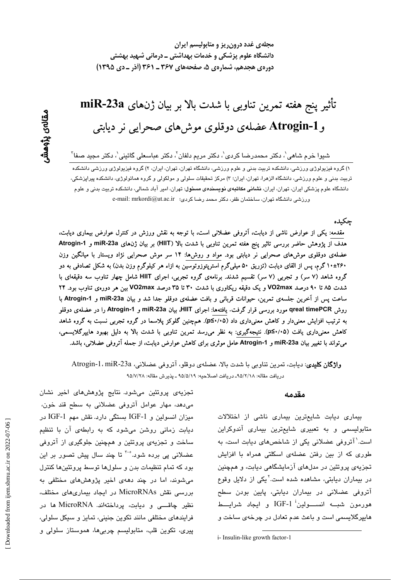مجلهی غدد درون ریز و متابولیسم ایران دانشگاه علوم پزشکی و خدمات بهداشتی ــ درمانی شهید بهشتی دوره ی هجدهم، شماره ی ۵، صفحههای ۳۶۷ ـ ۳۶۱ (آذر ـ دی ۱۳۹۵)

# تأثير پنج هفته تمرين تناوبي با شدت بالا بر بيان ژنهاي miR-23a وAtrogin-1 عضلهی دوقلوی موش۵های صحرایی نر دیابتی

شيوا خرم شاهي'، دکتر محمدرضا کردی'، دکتر مريم دلفان<sup>٬</sup>، دکتر عباسعلی گائينی'، دکتر مجيد صفا<sup>۲</sup>

۱) گروه فیزیولوژی ورزشی، دانشکده تربیت بدنی و علوم ورزشی، دانشگاه تهران، تهران، ایران، ۲) گروه فیزیولوژی ورزشی دانشکده تربیت بدنی و علوم ورزشی، دانشگاه الزهرا، تهران، ایران؛ ۳) مرکز تحقیقات سلولی و مولکولی و گروه هماتولوژی، دانشکده پیراپزشکی، دانشگاه علوم پزشکی ایران، تهران، ایران، **نشانی مکاتبهی نویسندهی مسئول**: تهران، امیر آباد شمالی، دانشکده تربیت بدنی و علوم ورزشى دانشگاه تهران، ساختمان ظفر، دكتر محمد رضا كردى؛ e-mail: mrkordi@ut.ac.ir

چکیده

مقدمه: یکی از عوارض ناشی از دیابت، آتروفی عضلانی است، با توجه به نقش ورزش در کنترل عوارض بیماری دیابت، هدف از پژوهش حاضر بررسی تاثیر پنج هفته تمرین تناوبی با شدت بالا (HIIT) بر بیان ژنهای miR-23a و Atrogin-1 عضلهی دوقلوی موشهای صحرایی نر دیابتی بود. مواد و روشها: ۱۴ سر موش صحرایی نژاد ویستار با میانگین وزن ۱۰±۲۶۰ گرم، پس از القای دیابت (تزریق ۵۰ میلیگرم استرپتوزوتوسین به ازاء هر کیلوگرم وزن بدن) به شکل تصادفی به دو گروه شاهد (۷ سر) و تجربی (۷ سر) تقسیم شدند. برنامهی گروه تجربی، اجرای HIIT شامل چهار تناوب سه دقیقهای با شدت ۸۵ تا ۹۰ درصد VO2max و یک دقیقه ریکاوری با شدت ۳۰ تا ۳۵ درصد VO2max بین هر دورهی تناوب بود. ۲۴ ساعت پس از آخرین جلسهی تمرین، حیوانات قربانی و بافت عضلهی دوقلو جدا شد و بیان miR-23a و Atrogin-1 با روش qreal timePCR مورد بررسی قرار گرفت. یافتهها: اجرای HIIT، بیان miR-23a و Atrogin-1 را در عضلهی دوقلو به ترتیب افزایش معنیدار و کاهش معنیداری داد (۵/۰۱۰£). همچنین گلوکز پلاسما در گروه تجربی نسبت به گروه شاهد کاهش معنیداری یافت (۵+۱·¤C). نتیجهگیری: به نظر میرسد تمرین تناوبی با شدت بالا به دلیل بهبود هایپرگلایسمی، میتواند با تغییر بیان miR-23a و Atrogin-1 عامل موثری برای کاهش عوارض دیابت، از جمله آتروفی عضلانی، باشد.

وا**ژگان کلیدی**: دیابت، تمرین تناوبی با شدت بالا، عضلهی دوقلو، آتروفی عضلانی، Atrogin-1، miR-23a دريافت مقاله: ٩٥/٢/١٨- دريافت اصلاحيه: ٩٥/٥/١٩ ـ پذيرش مقاله: ٩٥/٧/٢٨

#### مقدمه

بیماری دیابت شایعترین بیماری ناشی از اختلالات متابولیسمی و به تعبیری شایعترین بیماری آندوکراین است.<sup>\</sup> آتروفی عضلانی یکی از شاخصهای دیابت است، به طوری که از بین رفتن عضلهی اسکلتی همراه با افزایش تجزیهی پروتئین در مدلهای آزمایشگاهی دیابت، و همچنین در بیماران دیابتی، مشاهده شده است.<sup>۲</sup>یکی از دلایل وقوع آتروفی عضلانی در بیماران دیابتی، پایین بودن سطح هورمون شبـــه انســــولین<sup>:</sup> IGF-1 و ایجاد شرایــــط هایپرگلایسمی است و باعث عدم تعادل در چرخهی ساخت و

i- Insulin-like growth factor-1

تجزیهی پروتئین میشود. نتایج پژوهش های اخیر نشان میدهد، مهار عوامل آتروفی عضلانی به سطح قند خون، میزان انسولین و IGF-1 بستگی دارد. نقش مهم IGF-1 در دیابت زمانی روشن میشود که به رابطهی آن با تنظیم ساخت و تجزیهی پروتئین و همچنین جلوگیری از آتروفی عضلانی پی بردہ شود.°<sup>-۳</sup> تا چند سال پیش تصور بر این بود که تمام تنظیمات بدن و سلولها توسط پروتئینها کنترل می شوند، اما در چند دههی اخیر پژوهش های مختلفی به بررسی نقش MicroRNAs در ایجاد بیماریهای مختلف، نظیر چاقسی و دیابت، پرداختهاند. MicroRNA ها در فرایندهای مختلفی مانند تکوین جنینی، تمایز و سیکل سلولی، پيري، تکوين قلب، متابوليسم چربي،ها، هموستاز سلولي و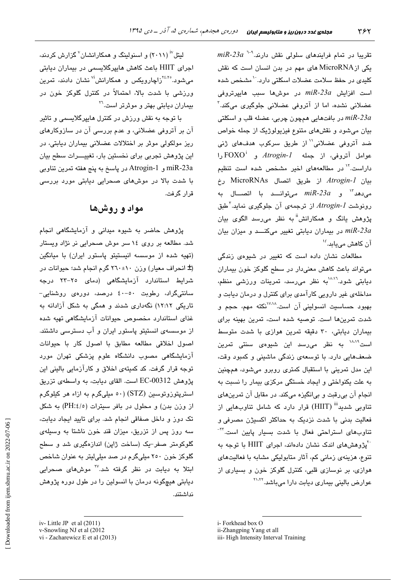$\emph{miR-23a}$  تقریبا در تمام فرایندهای سلولی نقش دارند. $^{-1}$  23 $^{-1}$ یکی ازMicroRNA های مهم در بدن انسان است که نقش کلیدی در حفظ سلامت عضلات اسکلتی دارد.<sup>۱۰</sup>مشخص شده است افزایش 23*a، است فایپردروفی miR-23a* عضلانی نشدہ، اما از آتروفی عضلانی جلوگیری میکند.<sup>۳</sup> در بافتهايی همچون چربی، عضله قلب و اسکلتی  $\emph{miR-23a}$ بیان میشود و نقشهای متنوع فیزیولوژیک از جمله خواص ضد آتروفی عضلانی'' از طریق سرکوب هدفهای ژنی عوامل آتروفی، از جمله Atrogin-1 و FOXO<sup>i</sup> را داراست.<sup>۱۷</sup> در مطالعههای اخیر مشخص شده است تنظیم بيان *Atrogin-1* از طريق اتصال MicroRNAs رخ  $m$ قصر المحمد المسلس می توانسد با اتصال به  $m$ 7-23 $\alpha$  و  $m$ 7-23 $\alpha$ رونوشت Atrogin-1 از ترجمهی آن جلوگیری نماید.<sup>۲</sup>طبق پژوهش ڀانگ و همکارانش<sup>ii</sup> به نظر می،رسد الگوی بيان در بیماران دیابتی تغییر میکنسد و میزان بیان  $m$ ik-23a آن کاهش می،یابد*. <sup>۱۶</sup>* 

مطالعات نشان داده است که تغییر در شیوهی زندگی می تواند پاعث کاهش معنی دار در سطح گلوکز خون بیماران دیابتی شود.<sup>۱۰،۱</sup>۱ به نظر میرسد، تمرینات ورزش*ی* منظم، مداخلهی غیر دارویی کارآمدی برای کنترل و درمان دیابت و بهبود حساسيت انسوليني آن است.<sup>۷٬۱۸</sup>نكته مهم، حجم و شدت تمرینها است. توصیه شده است، تمرین بهینه برای بیماران دیابتی، ۳۰ دقیقه تمرین هوازی با شدت متوسط است<sup>۱۸،۱۹</sup> به نظر میرسد این شیوه*ی* سنت*ی* تمرین ضعفهایی دارد. با توسعهی زندگی ماشینی و کمبود وقت، این مدل تمرینی با استقبال کمتری روبرو میشود، همچنین به علت یکنواختی و ایجاد خستگی مرکزی بیمار را نسبت به انجام آن بی رقبت و بیانگیزه میکند. در مقابل آن تمرین های تناوبی شدید<sup>iii</sup> (HIIT) قرار دارد که شامل تناوبهایی از فعالیت بدنی با شدت نزدیک به حداکثر اکسیژن مصرفی و تناوبها*ی* استراحتی فعال با شدت بسیار پایین است.<sup>71-</sup> َ ''پژوهشهای اندک نشان دادهاند، اجرای HIIT با توجه به تنوع، هزینهی زمانی کم، آثار متابولیکی مشابه با فعالیتهای هوازی، بر نوسازی قلبی، کنترل گلوکز خون و بسیاری از عوارض بالینی بیماری دیابت دارا میباشد.<sup>۲۱٬۲۲</sup>

i-Forkhead box O

لیتل" (۲۰۱۱) و اسنولینگ و همکارانشان<sup>۷</sup> گزارش کردند، اجرای HIIT باعث کاهش هایپرگلایسمی در بیماران دیابتی می شود.<sup>۲٤،۲</sup>°زاچارویکس و همکارانش<sup>iv</sup> نشان دادند، تمرین ورزشی با شدت بالا، احتمالاً در کنترل گلوکز خون در بیماران دیابتی بهتر و موثرتر است.<sup>۲۲</sup>

با توجه به نقش ورزش در کنترل <mark>مایپ</mark>رگلایسمی و تاثیر آن بر آتروفی عضلانی، و عدم بررسی آن در سازوکارهای ریز مولکولی موثر بر اختلالات عضلانی بیماران دیابتی، در این پژوهش تجربی برای نخستین بار، تغییـــرات سطح بیان miR-23a و Atrogin-1 در پاسخ به پنج هفته تمرين تناوبي با شدت بالا در موشهای صحرایی دیابتی مورد بررسی ق ار گ فت.

### مواد و روشها

پژوهش حاضر به شیوه میدانی و آزمایشگاهی انجام شد. مطالعه بر روی ١٤ سر موش صحرایی نر نژاد ویستار (تهیه شده از موسسه انیستیتو یاستور ایران) با میانگین (± انحراف معیار) وزن ١٠±٢٦٠ گرم انجام شد؛ حیوانات در شرایط استاندارد آزمایشگاهی (دمای ۲۵–۲۲ درجه سانتى،گراد، رطوبت ٥٠-٤٠ درصد، دورەی روشنايى-تاریکی ۱۲:۱۲) نگهداری شدند و همگی به شکل آزادانه به غذای استاندارد مخصوص حیوانات آزمایشگاهی تهیه شده از موسسهی انستیتو پاستور ایران و آب دسترسی داشتند. اصول اخلاقی مطالعه مطابق با اصول کار با حیوانات آزمایشگاهی مصوب دانشگاه علوم پزشکی تهران مورد توجه قرار گرفت. کد کمیتهی اخلاق و کارآزمایی بالینی این يژوهش EC-00312 است. القای ديابت، به واسطهی تزريق استرپتوزوتوسین (STZ) (۵۰ میلیگرم به ازاء هر کیلوگرم از وزن بدن) و محلول در بافر سیترات (PH:٤/٥) به شکل تک دوز و داخل صفاقی انجام شد. برای تایید ایجاد دیابت، سه روز پس از تزریق، میزان قند خون ناشتا به وسیلهی گلوکومتر صفر-یک (ساخت ژاپن) اندازهگیری شد و سطح گلوکز خون ۲۵۰ میلیگرم در صد میلی لیتر به عنوان شاخص ابتلا به دیابت در نظر گرفته شد.<sup>۲۷</sup> موشهای صحرابی دیابتی هیچگونه درمان با انسولین را در طول دوره پژوهش نداشتند.

ii-Zhangping Yang et all

iii- High Intensity Interval Training

iv-Little JP et al  $(2011)$ v-Snowling NJ et al (2012

vi - Zacharewicz E et al (2013)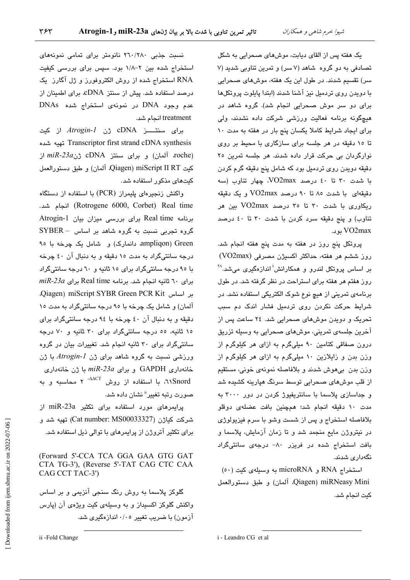یک هفته پس از القای دیابت، موشهای صحرایی به شکل تصادفی به دو گروه شاهد (۷ سر) و تمرین تناوبی شدید (۷ سر) تقسیم شدند. در طول این یک هفته، موشهای صحرایی با دویدن روی تردمیل نیز آشنا شدند (ابتدا پایلوت پروتکلها برای دو سر موش صحرایی انجام شد). گروه شاهد در هیچگونه برنامه فعالیت ورزشی شرکت داده نشدند، ولی برای ایجاد شرایط کاملا یکسان پنج بار در هفته به مدت ١٠ تا ۱۰ دقیقه در هر جلسه برای سازگاری با محیط بر روی نوارگردان یی حرکت قرار داده شدند. هر جلسه تمرین ۲۵ دقیقه دویدن روی تردمیل بود که شامل پنج دقیقه گرم کردن با شدت ٣٠ تا ٤٠ درصد VO2max، چهار تناوب (سه دقیقهای یا شدت ۸۰ تا ۹۰ درصد VO2max و یک دقیقه ریکاوری با شدت ۳۰ تا ۳۰ درصد VO2max بین هر تناوب) و پنج دقیقه سرد کردن با شدت ۳۰ تا ٤٠ درصد VO2max ىو د.

پروتکل پنج روز در هفته به مدت پنج هفته انجام شد. روز ششم هر هفته، حداکثر اکسیژن مصرفی (VO2max) یر اساس پروتکل لندرو و همکارانش<sup>آ</sup> اندازهگیر*ی* می *شد.*\*\* روز هفتم هر هفته برای استراحت در نظر گرفته شد. در طول برنامهی تمرینی از هیچ نوع شوک الکتریکی استفاده نشد. در شرایط حرکت نکردن روی تردمیل فشار اندک دم سبب تحریک و دویدن موشهای صحرایی شد. ۲٤ ساعت پس از آخرین جلسهی تمرینی، موشهای صحرایی به وسیله تزریق درون صفاقی کتامین ۹۰ میلیگرم به ازای هر کیلوگرم از وزن بدن و زایلازین ۱۰ میلیگرم به ازای هر کیلوگرم از وزن بدن بيهوش شدند و بلافاصله نمونهي خوني، مستقيم از قلب موش،های صحرایی توسط سرنگ هپارینه کشیده شد و جداسازی پلاسما با سانتریفیوژ کردن در دور ۳۰۰۰ به مدت ١٠ دقيقه انجام شد؛ همچنين بافت عضلهى دوقلو بلافاصله استخراج و پس از شست وشو با سرم فیزیولوژی در نیتروژن مایع منجمد شد و تا زمان آزمایش، پلاسما و بافت استخراج شده در فریزر ۸۰– درجهی سانتیگراد نگەدارى شدند.

استخراج RNA و microRNA به وسیلهی کیت (٥٠) Qiagen) miRNeasy Mini. آلمان) و طبق دستورالعمل كيت انجام شد.

نسبت جذبی ۲٦٠/٢٨٠ نانومتر برای تمامی نمونههای استخراج شده بین ۲–۱/۸ بود. سپس برای بررسی کیفیت RNA استخراج شده از روش الکتروفورز و ژل آگارز یک درصد استفاده شد. پیش از سنتز cDNA، برای اطمینان از عدم وجود DNA در نمونهی استخراج شده DNAs treatment انجام شد.

برای سنتـــــز cDNA ژن *Atrogin-1* از کیت Transcriptor first strand cDNA synthesis تهيه شده  $m$  آلمان) و برای سنتز cDNA ژن *miR-23a* از كيت Qiagen) miScript II RT آلمان) و طبق دستورالعمل کیتهای مذکور استفاده شد.

واکنش زنجیرهای پلیمراز (PCR) با استفاده از دستگاه (Rotrogene 6000, Corbet) Real time) انجام شد. برنامه Real time برای بررسی میزان بیان Atrogin-1 گروه تجربی نسبت به گروه شاهد بر اساس - SYBER ampliqon) Green، دانمارک) و شامل یک چرخه با ۹۰ درجه سانتي گراد به مدت ١٥ دقيقه و به دنبال آن ٤٠ چرخه با ۹۰ درجه سانتیگراد برای ۱۰ ثانیه و ٦٠ درجه سانتیگراد  $miR$ -23a برای ٦٠ ثانیه انجام شد. برنامه Real time برای Diagen) miScript SYBR Green PCR Kit آلمان) و شامل یک چرخه با ۹۰ درجه سانتی گراد به مدت ۱۰ دقيقه و به دنبال آن ٤٠ چرخه با ٩٤ درجه سانتىگراد براى ١٥ ثانيه، ٥٥ درجه سانتي گراد براى ٣٠ ثانيه و ٧٠ درجه سانتیگراد برای ۳۰ ثانیه انجام شد. تغییرات بیان در گروه ورزشی نسبت به گروه شاهد برای ژن  $Atrogin$  با ژن  $m$ ik-23a و برای 9APDH با ژن خانهداری NSnord، با استفاده از روش <sup>AACT-</sup> ۲ محاسبه و به صورت رتبه تغییر<sup>ة</sup> نشان داده شد.

پرایمرهای مورد استفاده برای تکثیر miR-23a از شىركت كياژن (Cat number: MS00033327) تهيه شد و برای تکثیر آتروژن از پرایمرهای با توالی ذیل استفاده شد.

(Forward 5'-CCA TCA GGA GAA GTG GAT CTA TG-3'), (Reverse 5'-TAT CAG CTC CAA CAG CCT TAC-3')

گلوکز پلاسما به روش رنگ سنجی آنزیمی و بر اساس واکنش گلوکز اکسیداز و به وسیلهی کیت ویژهی آن (پارس آزمون) با ضرب تغییر ۰/۰٥ اندازهگیری شد.

i - Leandro CG et al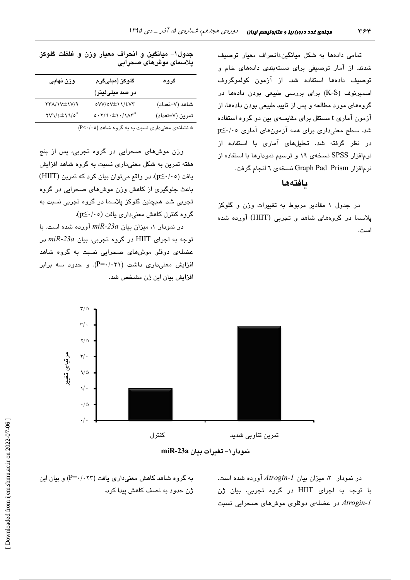تمامی دادهها به شکل میانگین±انحراف معیار توصیف شدند. از آمار توصیفی برای دستهبندی دادههای خام و توصيف دادهها استفاده شد. از آزمون كولموگروف اسمیرنوف (K-S) برای بررسی طبیعی بودن دادهها در گروههای مورد مطالعه و پس از تایید طبیعی بودن دادهها، از آزمون آماری t مستقل برای مقایسهی بین دو گروه استفاده شد. سطح معنیداری برای همه آزمونهای آماری p≤۰/۰۰ در نظر گرفته شد. تحلیلهای آماری با استفاده از نرمافزار SPSS نسخهی ۱۹ و ترسیم نمودارها با استفاده از نرمافزار Graph Pad Prism نسخهی ٦ انجام گرفت.

#### بافتهها

در جدول ۱ مقادیر مربوط به تغییرات وزن و گلوکز پلاسما در گروههای شاهد و تجربی (HIIT) آورده شده است.

جدول١- ميانګين و انحراف معيار وزن و غلظت گلوکز پلاسمای موشهای صحرایی

| وزن نهایی                                     | گلوکز (میلیگرم  | گروه            |
|-----------------------------------------------|-----------------|-----------------|
|                                               | در صد میلیلیتر) |                 |
| <b>TTA/IV±IV/9</b>                            | 0VV/0V±11/2V٣   | شاهد (٧=تعداد)  |
| $\text{YVI}/\text{E} \pm \text{V}/\text{O}^*$ | $0.77.1 + 1.77$ | تمرين (٧=تعداد) |
|                                               |                 |                 |

\* نشانهی معنیداری نسبت به به گروه شاهد (P<۰/۰٥)

وزن موش،های صحرایی در گروه تجربی، پس از پنج هفته تمرین به شکل معنیداری نسبت به گروه شاهد افزایش یافت (p≤·/·٥). در واقع میتوان بیان کرد که تمرین (HIIT) باعث جلوگیری از کاهش وزن موشهای صحرایی در گروه تجربی شد. همچنین گلوکز پلاسما در گروه تجربی نسبت به گروه کنترل کاهش معنیداری یافت (p≤٠/٠٥).

در نمودار ١، میزان بیان miR-23a آورده شده است. با  $m$ توجه به اجرای HIIT در گروه تجربی، بیان 23a- $m$  در عضلهی دوقلو موشهای صحرایی نسبت به گروه شاهد افزایش معنیداری داشت (P=۰/۰۳۱). و حدود سه برابر افزایش بیان این ژن مشخص شد.



نمودار ۱- تغيرات بيان miR-23a

در نمودار ٢، میزان بیان Atrogin-1 آورده شده است. با توجه به اجرای HIIT در گروه تجربی، بیان ژن در عضلهی دوقلوی موشهای صحرابی نسبت Atrogin-l

به گروه شاهد کاهش معنیداری یافت (P=۰/۰۲۳) و بیان این ژن حدود به نصف کاهش پیدا کرد.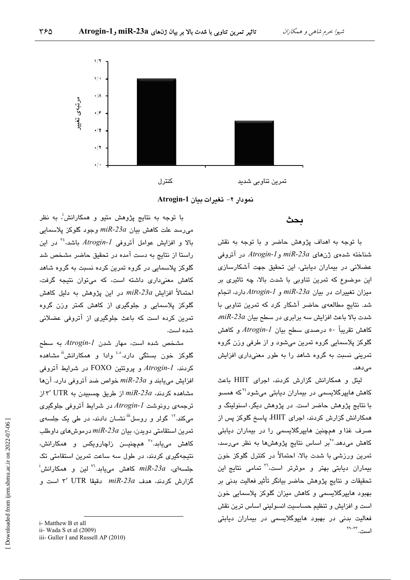

نمودار ٢- تغيرات بيان Atrogin-1

ىحث

با توجه به اهداف پژوهش حاضر و با توجه به نقش شناخته شدهي ژنهاي miR-23a وAtrogin-1 در آتروفي عضلانی در بیماران دیابتی، این تحقیق جهت آشکارسازی این موضوع که تمرین تناوبی با شدت بالا، چه تاثیری بر میزان تغییرات در بیان miR-23a و Atrogin-1 دارد، انجام شد. نتایج مطالعهی حاضر آشکار کرد که تمرین تناوبی با  $m$ قدت بالا باعث افزایش سه برابری در سطح بیان 23a، $n$ كاهش تقريباً ٥٠ درصدي سطح بيان Atrogin-l و كاهش گلوکز پلاسمایی گروه تمرین میشود و از طرفی وزن گروه تمرینی نسبت به گروه شاهد را به طور معنیداری افزایش مى دهد.

لیتل و همکارانش گزارش کردند، اجرای HIIT باعث کاهش هایپرگلایسمی در بیماران دیابتی میشود<sup>۲٤</sup>که همسو با نتایج پژوهش حاضر است. در پژوهش دیگر، اسنولینگ و همکارانش گزارش کردند، اجرای HIIT، پاسخ گلوکز پس از صرف غذا و همچنین هایپرگلایسمی را در بیماران دیابتی کاهش می،دهد.°<sup>٬</sup>بر اساس نتایج پژوهشها به نظر می٫رسد، تمرین ورزشی با شدت بالا، احتمالاً در کنترل گلوکز خون بیماران دیابتی بهتر و موثرتر است،<sup>71</sup> تمامی نتایج این تحقيقات و نتايج پژوهش حاضر بيانگر تأثير فعاليت بدني بر بهبود هایپرگلایسمی و کاهش میزان گلوکز پلاسمایی خون است و افزایش و تنظیم حساسیت انسولینی اساس ترین نقش فعالیت بدنی در بهبود هاییوگلایسمی در بیماران دیابتی است. ٢٢-٢٩

با توجه به نتایج پژوهش متبو و همکارانش<sup>!</sup>، به نظر میرسد علت کاهش بیان 23a- $nik$ ا وجود گلوکز پلاسمایی بالا و افزایش عوامل آتروفی Atrogin-1 باشد،<sup>۳</sup> در این راستا از نتایج به دست آمده در تحقیق حاضر مشخص شد گلوکز پلاسمایی در گروه تمرین کرده نسبت به گروه شاهد کاهش معنیداری داشته است، که میتوان نتیجه گرفت، احتمالاً افزایش 2*3a-miR* در این پژوهش به دلیل کاهش گلوکز پلاسمایی و جلوگیری از کاهش کمتر وزن گروه تمرین کرده است که باعث جلوگیری از آتروفی عضلانی شده است.

مشخص شده است، مهار شدن Atrogin-1 به سطح گلوکز خون بستگی دارد.<sup>ه،</sup>ٔ وادا و همکارانش<sup>ii</sup> مشاهده كردند، Atrogin-1 و يروتئين FOXO در شرابط آتروفي  $m$ افزايش مى يابند و 23a- $m$  خواص ضد آتروفى دارد. آن ها  $\forall$ ۲' UTR از طریق چسبیدن به UTR از ان طریق چسبیدن به ترجمهی رونوشت Atrogin-I در شرایط آتروفی جلوگیری میکند.<sup>۱۲</sup> گولر و روسل<sup>iii</sup>نشـان دادند، در طی یک جلسه*ی* تمرین استقامتی دوبدن، بیان 23a-miR درموش های داوطلب کاهش می<sub>ع</sub>ابد.<sup>۳</sup>ْ همچنیــن زاچارویکس و همکارانش، نتیجهگیری کردند، در طول سه ساعت تمرین استقامتی تک  $\dot{\phantom{a}}^i$ جلسهای، 2*3α-miR* کاهش میبابد.<sup>۲۲</sup> لین و همکارانش گزارش كردند، هدف miR-23a دقيقا V' UTR است و

i- Matthew B et all

ii- Wada S et al (2009)

iii- Guller I and Russell AP (2010)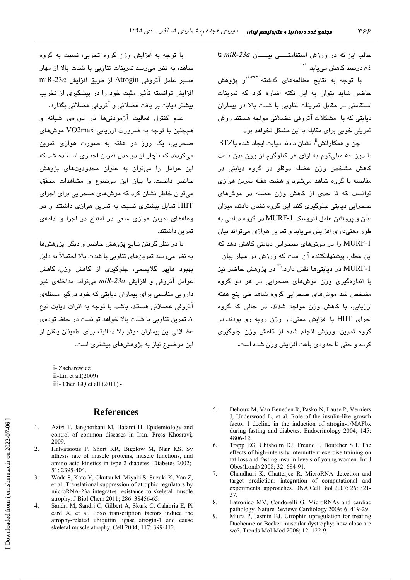جالب این که در ورزش استقامتــــی بیــــان miR-23a تا ۸٤ درصد کاهش مے ٍباید. ``

با توجه به نتایج مطالعههای گذشته ۱۰٬۲۱٬۳۰٬ حاضر شاید بتوان به این نکته اشاره کرد که تمرینات استقامتی در مقابل تمرینات تناوبی با شدت بالا در بیماران دہائتے که یا۔ مشکلات آترونی عضلانی مواجه هستند روش تمرینی خوبی برای مقابله با این مشکل نخواهد بود.

چن و همکارانش"، نشان دادند دیابت ایجاد شده باSTZ با دور ٥٠ ميليگرم په ازاي هر کيلوگرم از وزن پدن پاعث کاهش مشخص وزن عضله دوقلو در گروه دیابتی در مقایسه با گروه شاهد می شود و هشت هفته تمرین هوازی .<br>توانست که تا حد*ی* از کاهش وزن عضله در موشهای صحرایی دیابتی جلوگیری کند. این گروه نشان دادند، میزان بیان و پروتئین عامل آتروفیک MURF-1 در گروه دیابتی به طور معنے،داری افزایش مے،باید و تمرین هوازی مے،تواند بیان MURF-1 را در موشهای صحرایی دیابتی کاهش دهد که این مطلب پیشنهادکننده آن است که ورزش در مهار بیان MURF-1 در ديايتےها نقش دارد.''' در پژوهش حاضر نيز با اندازهگیری وزن موشهای صحرایی در هر دو گروه .<br>مشخص شد موشهای صحرایی گروه شاهد طی پنج هفته ارزیابی، با کاهش وزن مواجه شدند، در حالی که گروه اجرای HIIT با افزایش معنیدار وزن روبه رو بودند در گروه تمرین، ورزش انجام شده از کاهش وزن جلوگیری كرده و حتى تا حدودي باعث افزايش وزن شده است.

با توجه به افزایش وزن گروه تجربی، نسبت به گروه شاهد، به نظر میرسد تمرینات تناوبی با شدت بالا از مهار miR-23a (از طريق Atrogin از طريق افزايش miR-23a افزایش توانسته تأثیر مثبت خود را در پیشگیری از تخریب بیشتر دیابت بر بافت عضلانی و آتروفی عضلانی بگذارد.

عدم کنترل فعالیت آزمودنیها در دوره*ی* شیانه و همچنین با توجه به ضرورت ارزیابی VO2max موش های صحرایی، یک روز در هفته به صورت هواز*ی* تمرین میکردند که ناچار از دو مدل تمرین اجباری استفاده شد که این عوامل را میتوان به عنوان محدودیتهای پژوهش حاضر دانست. با بیان این موضوع و مشاهدات محقق، می توان خاطر نشان کرد که موش های صحرایی برای اجرای HIIT تمایل بیشتری نسبت به تمرین هوازی داشتند و در وهلههای تمرین هوازی سعی در امتناع در اجرا و ادامهی تمرين داشتند.

با در نظر گرفتن نتایج پژوهش حاضر و دیگر پژوهشها به نظر میرسد تمرینهای تناوبی با شدت بالا احتمالاً به دلیل یهبورد هاییر گلایسم*ی،* جلوگیری از کاهش وزن، کاهش عوامل آتروفی و افزایش miR-23a میتواند مداخلهی غیر دارویی مناسبی برای بیماران دیابتی که خود درگیر مسئلهی آتروفی عضلانی هستند، باشد. با توجه به اثرات دیابت نوع ۰۱ تمرین تناوبی با شدت بالا خواهد توانست در حفظ تودهی عضلانی این بیماران موثر باشد؛ البته برای اطمینان یافتن از این موضوع نیاز به پژوهش های بیشتری است.

i-Zacharewicz ii-Lin et all(2009) iii- Chen GQ et all (2011) -

#### **References**

- $\mathbf{1}$ . Azizi F, Janghorbani M, Hatami H. Epidemiology and control of common diseases in Iran. Press Khosravi: 2009
- $2.$ Halvatsiotis P, Short KR, Bigelow M, Nair KS. Sy nthesis rate of muscle proteins, muscle functions, and amino acid kinetics in type 2 diabetes. Diabetes 2002; 51: 2395-404.
- $\overline{3}$ . Wada S, Kato Y, Okutsu M, Miyaki S, Suzuki K, Yan Z, et al. Translational suppression of atrophic regulators by microRNA-23a integrates resistance to skeletal muscle atrophy. J Biol Chem 2011; 286: 38456-65.
- $4.$ Sandri M, Sandri C, Gilbert A, Skurk C, Calabria E, Pi card A, et al. Foxo transcription factors induce the atrophy-related ubiquitin ligase atrogin-1 and cause skeletal muscle atrophy. Cell 2004; 117: 399-412.
- Dehoux M, Van Beneden R, Pasko N, Lause P, Verniers 5. J, Underwood L, et al. Role of the insulin-like growth factor I decline in the induction of atrogin-1/MAFbx during fasting and diabetes. Endocrinology 2004; 145: 4806-12
- Trapp EG, Chisholm DJ, Freund J, Boutcher SH. The 6 effects of high-intensity intermittent exercise training on fat loss and fasting insulin levels of young women. Int J Obes(Lond) 2008: 32: 684-91.
- Chaudhuri K, Chatterjee R. MicroRNA detection and  $\tau$ target prediction: integration of computational and experimental approaches. DNA Cell Biol 2007; 26: 321-37
- Latronico MV, Condorelli G. MicroRNAs and cardiac 8. pathology. Nature Reviews Cardiology 2009; 6: 419-29.
- $9<sub>1</sub>$ Miura P, Jasmin BJ. Utrophin upregulation for treating Duchenne or Becker muscular dystrophy: how close are we?. Trends Mol Med 2006; 12: 122-9.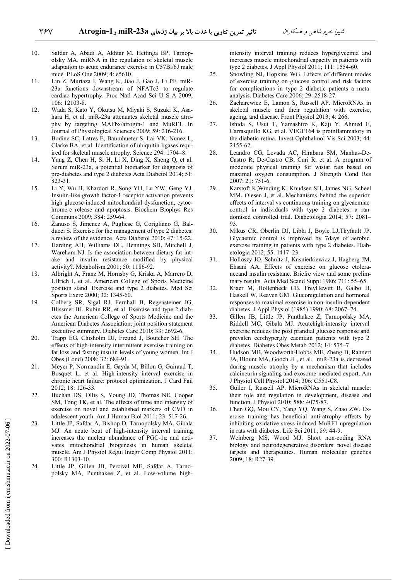- 10. Safdar A, Abadi A, Akhtar M, Hettinga BP, Tarnopolsky MA. miRNA in the regulation of skeletal muscle adaptation to acute endurance exercise in C57Bl/6J male mice. PLoS One 2009; 4: e5610.
	- 11. Lin Z, Murtaza I, Wang K, Jiao J, Gao J, Li PF. miR-23a functions downstream of NFATc3 to regulate cardiac hypertrophy. Proc Natl Acad Sci U S A 2009; 106: 12103-8.
	- 12. Wada S, Kato Y, Okutsu M, Miyaki S, Suzuki K, Asahara H, et al. miR-23a attenuates skeletal muscle atrophy by targeting MAFbx/atrogin-1 and MuRF1. In Journal of Physiological Sciences 2009; 59: 216-216.
	- 13. Bodine SC, Latres E, Baumhueter S, Lai VK, Nunez L, Clarke BA, et al. Identification of ubiquitin ligases required for skeletal muscle atrophy. Science 294: 1704–8.
	- 14. Yang Z, Chen H, Si H, Li X, Ding X, Sheng Q, et al. Serum miR-23a, a potential biomarker for diagnosis of pre-diabetes and type 2 diabetes Acta Diabetol 2014; 51: 823-31.
	- 15. Li Y, Wu H, Khardori R, Song YH, Lu YW, Geng YJ. Insulin-like growth factor-1 receptor activation prevents high glucose-induced mitochondrial dysfunction, cytochrome-c release and apoptosis. Biochem Biophys Res Communs 2009; 384: 259-64.
	- 16. Zanuso S, Jimenez A, Pugliese G, Corigliano G, Balducci S. Exercise for the management of type 2 diabetes: a review of the evidence. Acta Diabetol 2010; 47: 15-22.
	- 17. Harding AH, Williams DE, Hennings SH, Mitchell J, Wareham NJ. Is the association between dietary fat intake and insulin resistance modified by physical activity?. Metabolism 2001; 50: 1186-92.
	- 18. Albright A, Franz M, Hornsby G, Kriska A, Marrero D, Ullrich I, et al. American College of Sports Medicine position stand. Exercise and type 2 diabetes. Med Sci Sports Exerc 2000; 32: 1345-60.
	- 19. Colberg SR, Sigal RJ, Fernhall B, Regensteiner JG, Blissmer BJ, Rubin RR, et al. Exercise and type 2 diabetes the American College of Sports Medicine and the American Diabetes Association: joint position statement executive summary. Diabetes Care 2010; 33: 2692-6.
	- 20. Trapp EG, Chisholm DJ, Freund J, Boutcher SH. The effects of high-intensity intermittent exercise training on fat loss and fasting insulin levels of young women. Int J Obes (Lond) 2008; 32: 684-91.
	- 21. Meyer P, Normandin E, Gayda M, Billon G, Guiraud T, Bosquet L, et al. High-intensity interval exercise in chronic heart failure: protocol optimization. J Card Fail 2012; 18: 126-33.
	- 22. Buchan DS, Ollis S, Young JD, Thomas NE, Cooper SM, Tong TK, et al. The effects of time and intensity of exercise on novel and established markers of CVD in adolescent youth. Am J Human Biol 2011; 23: 517-26.
	- 23. Little JP, Safdar A, Bishop D, Tarnopolsky MA, Gibala MJ. An acute bout of high-intensity interval training increases the nuclear abundance of PGC-1 $\alpha$  and activates mitochondrial biogenesis in human skeletal muscle. Am J Physiol Regul Integr Comp Physiol 2011; 300: R1303-10.
	- 24. Little JP, Gillen JB, Percival ME, Safdar A, Tarnopolsky MA, Punthakee Z, et al. Low-volume high-

intensity interval training reduces hyperglycemia and increases muscle mitochondrial capacity in patients with type 2 diabetes. J Appl Physiol 2011; 111: 1554-60.

- 25. Snowling NJ, Hopkins WG. Effects of different modes of exercise training on glucose control and risk factors for complications in type 2 diabetic patients a metaanalysis. Diabetes Care 2006; 29: 2518-27.
- 26. Zacharewicz E, Lamon S, Russell AP. MicroRNAs in skeletal muscle and their regulation with exercise, ageing, and disease. Front Physiol 2013; 4: 266.
- 27. Ishida S, Usui T, Yamashiro K, Kaji Y, Ahmed E, Carrasquillo KG, et al. VEGF164 is proinflammatory in the diabetic retina. Invest Ophthalmol Vis Sci 2003; 44: 2155-62.
- 28. Leandro CG, Levada AC, Hirabara SM, Manhas-De-Castro R, De-Castro CB, Curi R, et al. A program of moderate physical training for wistar rats based on maximal oxygen consumption. J Strength Cond Res 2007; 21: 751-6.
- 29. Karstoft K,Winding K, Knudsen SH, James NG, Scheel MM, Olesen J, et al. Mechanisms behind the superior effects of interval vs continuous training on glycaemiac control in individuals with type 2 diabetes: a randomised controlled trial. Diabetologia 2014; 57: 2081– 93.
- 30. Mikus CR, Oberlin DJ, Libla J, Boyle LJ,Thyfault JP. Glycaemic control is improved by 7days of aerobic exercise training in patients with type 2 diabetes. Diabetologia 2012; 55: 1417–23.
- 31. Holloszy JO, Schultz J, Kusnierkiewicz J, Hagberg JM, Ehsani AA. Effects of exercise on glucose etoleranceand insulin resistanc. Briefre view and some preliminary results. Acta Med Scand Suppl 1986; 711: 55–65.
- 32. Kjaer M, Hollenbeck CB, FreyHewitt B, Galbo H, Haskell W, Reaven GM. Glucoregulation and hormonal responses to maximal exercise in non-insulin-dependent diabetes. J Appl Physiol (1985) 1990; 68: 2067–74.
- 33. Gillen JB, Little JP, Punthakee Z, Tarnopolsky MA, Riddell MC, Gibala MJ. Acutehigh-intensity interval exercise reduces the post prandial glucose response and prevalen ceofhypergly caemiain patients with type 2 diabetes. Diabetes Obes Metab 2012; 14: 575–7.
- 34. Hudson MB, Woodworth-Hobbs ME, Zheng B, Rahnert JA, Blount MA, Gooch JL, et al. miR-23a is decreased during muscle atrophy by a mechanism that includes calcineurin signaling and exosome-mediated export. Am J Physiol Cell Physiol 2014; 306: C551-C8.
- 35. Güller I, Russell AP. MicroRNAs in skeletal muscle: their role and regulation in development, disease and function. J Physiol 2010; 588: 4075-87.
- 36. Chen GQ, Mou CY, Yang YQ, Wang S, Zhao ZW. Exercise training has beneficial anti-atrophy effects by inhibiting oxidative stress-induced MuRF1 upregulation in rats with diabetes. Life Sci 2011; 89: 44-9.
- 37. Weinberg MS, Wood MJ. Short non-coding RNA biology and neurodegenerative disorders: novel disease targets and therapeutics. Human molecular genetics 2009; 18: R27-39.